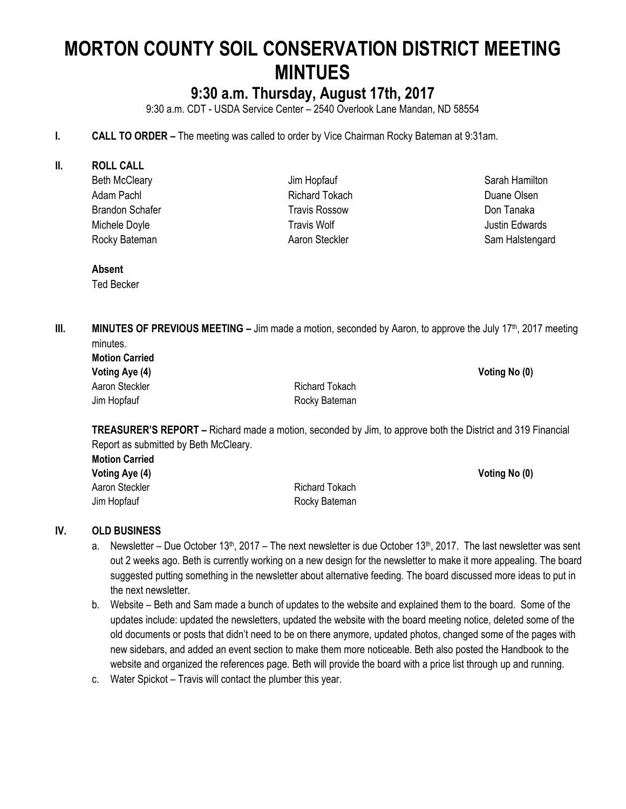# **MORTON COUNTY SOIL CONSERVATION DISTRICT MEETING MINTUES**

## **9:30 a.m. Thursday, August 17th, 2017**

9:30 a.m. CDT - USDA Service Center – 2540 Overlook Lane Mandan, ND 58554

#### **I. CALL TO ORDER** – The meeting was called to order by Vice Chairman Rocky Bateman at 9:31am.

#### **II. ROLL CALL**

Beth McCleary Adam Pachl Brandon Schafer Michele Doyle Rocky Bateman

Jim Hopfauf Richard Tokach Travis Rossow Travis Wolf Aaron Steckler

Sarah Hamilton Duane Olsen Don Tanaka Justin Edwards Sam Halstengard

**Absent** Ted Becker

**III. MINUTES OF PREVIOUS MEETING** – Jim made a motion, seconded by Aaron, to approve the July 17<sup>th</sup>, 2017 meeting

| minutes.              |                |
|-----------------------|----------------|
| <b>Motion Carried</b> |                |
| Voting Aye (4)        | Voting No (0)  |
| Aaron Steckler        | Richard Tokach |
| Jim Hopfauf           | Rocky Bateman  |

**TREASURER'S REPORT –** Richard made a motion, seconded by Jim, to approve both the District and 319 Financial Report as submitted by Beth McCleary.

| <b>Motion Carried</b> |                |               |
|-----------------------|----------------|---------------|
| Voting Aye (4)        |                | Voting No (0) |
| Aaron Steckler        | Richard Tokach |               |
| Jim Hopfauf           | Rocky Bateman  |               |

#### **IV. OLD BUSINESS**

- a. Newsletter Due October 13<sup>th</sup>, 2017 The next newsletter is due October 13<sup>th</sup>, 2017. The last newsletter was sent out 2 weeks ago. Beth is currently working on a new design for the newsletter to make it more appealing. The board suggested putting something in the newsletter about alternative feeding. The board discussed more ideas to put in the next newsletter.
- b. Website Beth and Sam made a bunch of updates to the website and explained them to the board. Some of the updates include: updated the newsletters, updated the website with the board meeting notice, deleted some of the old documents or posts that didn't need to be on there anymore, updated photos, changed some of the pages with new sidebars, and added an event section to make them more noticeable. Beth also posted the Handbook to the website and organized the references page. Beth will provide the board with a price list through up and running.
- c. Water Spickot Travis will contact the plumber this year.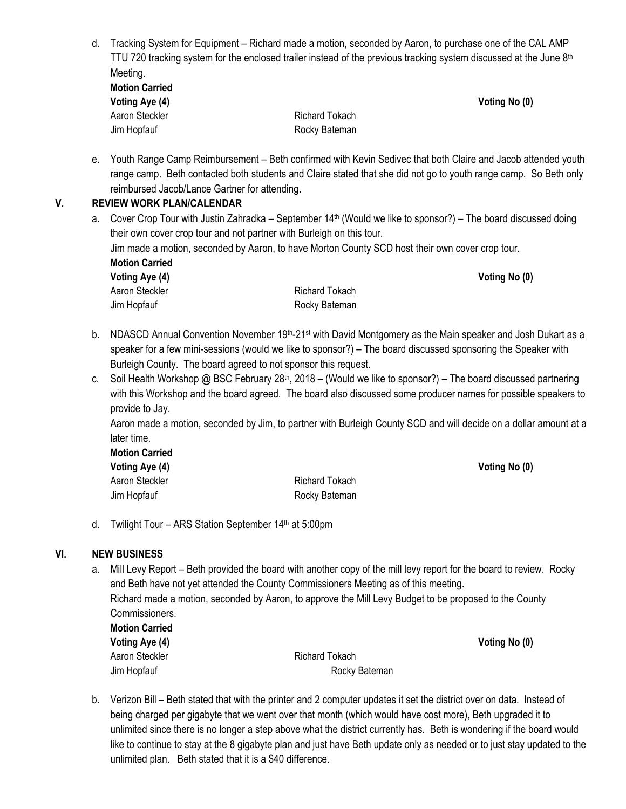d. Tracking System for Equipment – Richard made a motion, seconded by Aaron, to purchase one of the CAL AMP TTU 720 tracking system for the enclosed trailer instead of the previous tracking system discussed at the June  $8<sup>th</sup>$ Meeting.

| <b>Motion Carried</b> |  |
|-----------------------|--|
| Voting Aye (4)        |  |
| Aaron Steckler        |  |
| Jim Hopfauf           |  |

Richard Tokach Rocky Bateman

e. Youth Range Camp Reimbursement – Beth confirmed with Kevin Sedivec that both Claire and Jacob attended youth range camp. Beth contacted both students and Claire stated that she did not go to youth range camp. So Beth only reimbursed Jacob/Lance Gartner for attending.

**Voting No (0)** 

#### **V. REVIEW WORK PLAN/CALENDAR**

a. Cover Crop Tour with Justin Zahradka – September 14<sup>th</sup> (Would we like to sponsor?) – The board discussed doing their own cover crop tour and not partner with Burleigh on this tour.

Jim made a motion, seconded by Aaron, to have Morton County SCD host their own cover crop tour. **Motion Carried**

| Voting Aye (4) |                | Voting No (0) |
|----------------|----------------|---------------|
| Aaron Steckler | Richard Tokach |               |
| Jim Hopfauf    | Rocky Bateman  |               |

- b. NDASCD Annual Convention November 19<sup>th</sup>-21<sup>st</sup> with David Montgomery as the Main speaker and Josh Dukart as a speaker for a few mini-sessions (would we like to sponsor?) – The board discussed sponsoring the Speaker with Burleigh County. The board agreed to not sponsor this request.
- c. Soil Health Workshop @ BSC February 28<sup>th</sup>, 2018 (Would we like to sponsor?) The board discussed partnering with this Workshop and the board agreed. The board also discussed some producer names for possible speakers to provide to Jay.

Aaron made a motion, seconded by Jim, to partner with Burleigh County SCD and will decide on a dollar amount at a later time.

**Motion Carried Voting Aye (4) Voting No (0)** Aaron Steckler **Richard Tokach** Jim Hopfauf **Rocky Bateman** 

d. Twilight Tour – ARS Station September  $14<sup>th</sup>$  at 5:00pm

#### **VI. NEW BUSINESS**

a. Mill Levy Report – Beth provided the board with another copy of the mill levy report for the board to review. Rocky and Beth have not yet attended the County Commissioners Meeting as of this meeting. Richard made a motion, seconded by Aaron, to approve the Mill Levy Budget to be proposed to the County Commissioners.

**Motion Carried Voting Aye (4) Voting No (0)** Aaron Steckler **Richard Tokach** 

Jim Hopfauf **Rocky Bateman** 

b. Verizon Bill – Beth stated that with the printer and 2 computer updates it set the district over on data. Instead of being charged per gigabyte that we went over that month (which would have cost more), Beth upgraded it to unlimited since there is no longer a step above what the district currently has. Beth is wondering if the board would like to continue to stay at the 8 gigabyte plan and just have Beth update only as needed or to just stay updated to the unlimited plan. Beth stated that it is a \$40 difference.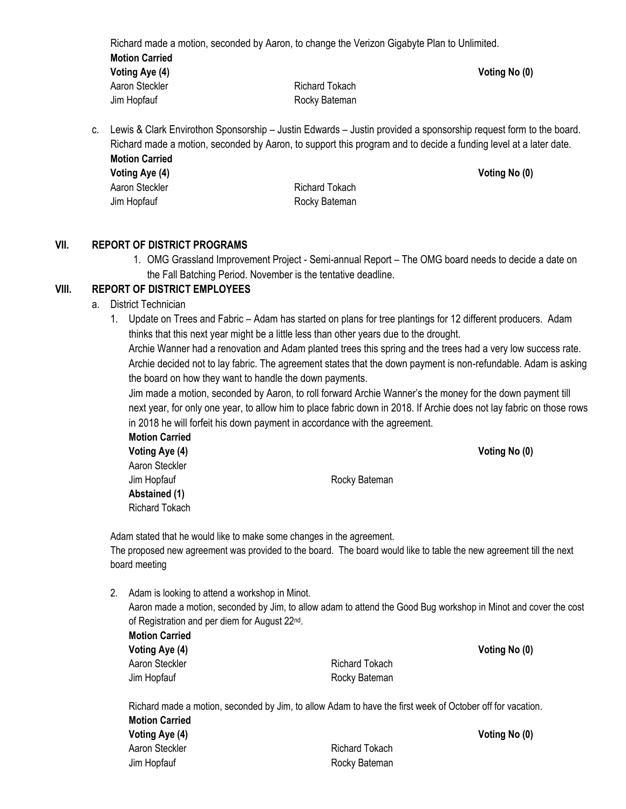Richard made a motion, seconded by Aaron, to change the Verizon Gigabyte Plan to Unlimited. **Motion Carried Voting Aye (4) Voting No (0)** Aaron Steckler **Richard Tokach** Jim Hopfauf **Rocky Bateman** 

c. Lewis & Clark Envirothon Sponsorship – Justin Edwards – Justin provided a sponsorship request form to the board. Richard made a motion, seconded by Aaron, to support this program and to decide a funding level at a later date. **Motion Carried**

**Voting Aye (4) Voting No (0)**

Aaron Steckler **Richard Tokach** Jim Hopfauf **Rocky Bateman** 

#### **VII. REPORT OF DISTRICT PROGRAMS**

1. OMG Grassland Improvement Project - Semi-annual Report – The OMG board needs to decide a date on the Fall Batching Period. November is the tentative deadline.

#### **VIII. REPORT OF DISTRICT EMPLOYEES**

- a. District Technician
	- 1. Update on Trees and Fabric Adam has started on plans for tree plantings for 12 different producers. Adam thinks that this next year might be a little less than other years due to the drought.

Archie Wanner had a renovation and Adam planted trees this spring and the trees had a very low success rate. Archie decided not to lay fabric. The agreement states that the down payment is non-refundable. Adam is asking the board on how they want to handle the down payments.

Jim made a motion, seconded by Aaron, to roll forward Archie Wanner's the money for the down payment till next year, for only one year, to allow him to place fabric down in 2018. If Archie does not lay fabric on those rows in 2018 he will forfeit his down payment in accordance with the agreement.

**Motion Carried Voting Aye (4) Voting No (0)** Aaron Steckler Jim Hopfauf **Rocky Bateman Abstained (1)** Richard Tokach

Adam stated that he would like to make some changes in the agreement. The proposed new agreement was provided to the board. The board would like to table the new agreement till the next board meeting

2. Adam is looking to attend a workshop in Minot. Aaron made a motion, seconded by Jim, to allow adam to attend the Good Bug workshop in Minot and cover the cost of Registration and per diem for August 22<sup>nd</sup>.

| <b>Motion Carried</b> |                |
|-----------------------|----------------|
| Voting Aye (4)        |                |
| Aaron Steckler        | Richard Tokach |
| Jim Hopfauf           | Rocky Bateman  |

Richard made a motion, seconded by Jim, to allow Adam to have the first week of October off for vacation. **Motion Carried Voting Aye (4) Voting No (0)**

| VOLING AVE (4) |                |
|----------------|----------------|
| Aaron Steckler | Richard Tokach |
| Jim Hopfauf    | Rocky Bateman  |

**Voting Aye (4) Voting No (0)**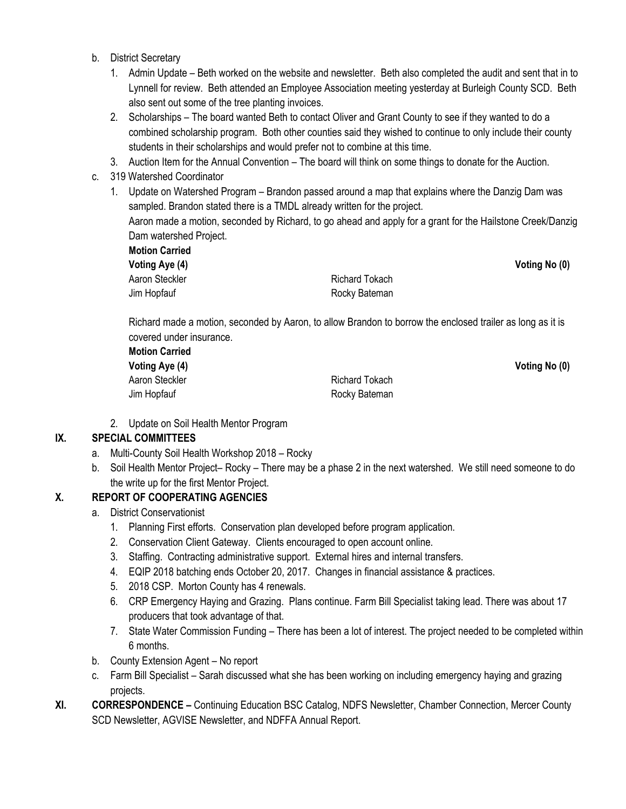- b. District Secretary
	- 1. Admin Update Beth worked on the website and newsletter. Beth also completed the audit and sent that in to Lynnell for review. Beth attended an Employee Association meeting yesterday at Burleigh County SCD. Beth also sent out some of the tree planting invoices.
	- 2. Scholarships The board wanted Beth to contact Oliver and Grant County to see if they wanted to do a combined scholarship program. Both other counties said they wished to continue to only include their county students in their scholarships and would prefer not to combine at this time.
	- 3. Auction Item for the Annual Convention The board will think on some things to donate for the Auction.
- c. 319 Watershed Coordinator
	- 1. Update on Watershed Program Brandon passed around a map that explains where the Danzig Dam was sampled. Brandon stated there is a TMDL already written for the project.

Aaron made a motion, seconded by Richard, to go ahead and apply for a grant for the Hailstone Creek/Danzig Dam watershed Project.

| <b>Motion Carried</b> |                |               |
|-----------------------|----------------|---------------|
| Voting Aye (4)        |                | Voting No (0) |
| Aaron Steckler        | Richard Tokach |               |
| Jim Hopfauf           | Rocky Bateman  |               |

Richard made a motion, seconded by Aaron, to allow Brandon to borrow the enclosed trailer as long as it is covered under insurance.

| <b>Motion Carried</b> |                       |
|-----------------------|-----------------------|
| Voting Aye (4)        |                       |
| Aaron Steckler        | <b>Richard Tokach</b> |
| Jim Hopfauf           | Rocky Bateman         |

**Voting Aye (4) Voting No (0)**

2. Update on Soil Health Mentor Program

#### **IX. SPECIAL COMMITTEES**

- a. Multi-County Soil Health Workshop 2018 Rocky
- b. Soil Health Mentor Project– Rocky There may be a phase 2 in the next watershed. We still need someone to do the write up for the first Mentor Project.

#### **X. REPORT OF COOPERATING AGENCIES**

- a. District Conservationist
	- 1. Planning First efforts. Conservation plan developed before program application.
	- 2. Conservation Client Gateway. Clients encouraged to open account online.
	- 3. Staffing. Contracting administrative support. External hires and internal transfers.
	- 4. EQIP 2018 batching ends October 20, 2017. Changes in financial assistance & practices.
	- 5. 2018 CSP. Morton County has 4 renewals.
	- 6. CRP Emergency Haying and Grazing. Plans continue. Farm Bill Specialist taking lead. There was about 17 producers that took advantage of that.
	- 7. State Water Commission Funding There has been a lot of interest. The project needed to be completed within 6 months.
- b. County Extension Agent No report
- c. Farm Bill Specialist Sarah discussed what she has been working on including emergency haying and grazing projects.
- **XI. CORRESPONDENCE –** Continuing Education BSC Catalog, NDFS Newsletter, Chamber Connection, Mercer County SCD Newsletter, AGVISE Newsletter, and NDFFA Annual Report.